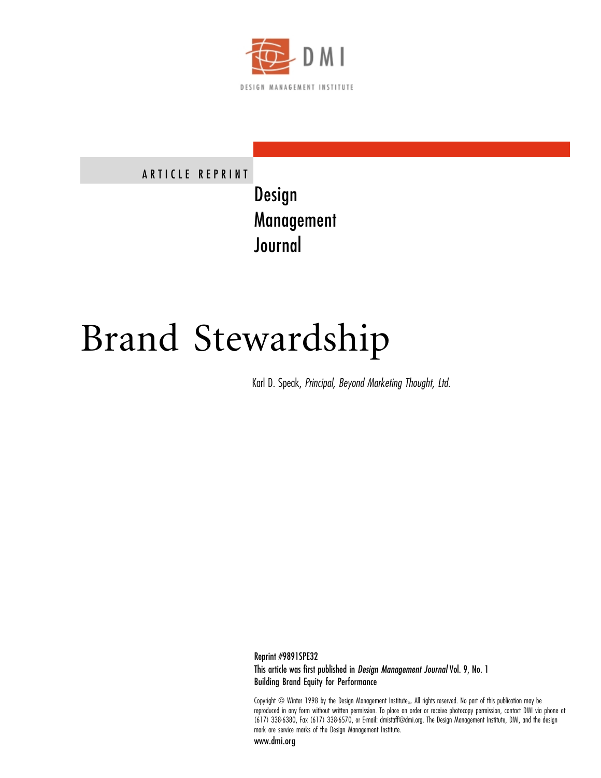

## ARTICLE REPRINT Design Management **Journal**

## Brand Stewardship

Karl D. Speak, *Principal, Beyond Marketing Thought, Ltd.*

Reprint #9891SPE32 This article was first published in *Design Management Journal* Vol. 9, No. 1 Building Brand Equity for Performance

Copyright © Winter 1998 by the Design Management Institutess. All rights reserved. No part of this publication may be reproduced in any form without written permission. To place an order or receive photocopy permission, contact DMI via phone at (617) 338-6380, Fax (617) 338-6570, or E-mail: dmistaff@dmi.org. The Design Management Institute, DMI, and the design mark are service marks of the Design Management Institute.

www.dmi.org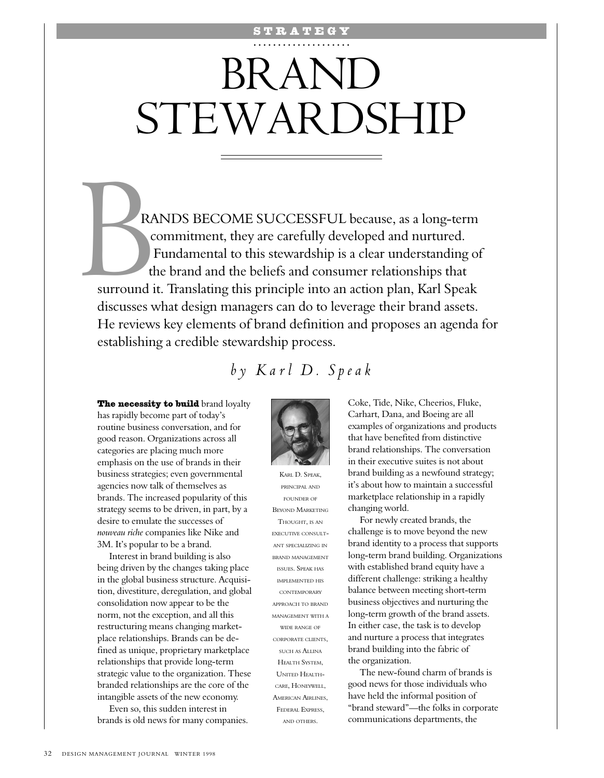#### STRATEGY . . . . . . . . . . . . . . . . . . . .

# BRAND STEWARDSHIP

RA surround it. Translating this principle into an action plan, Karl Speak discusses what design managers can do to leverage their brand assets. He reviews key elements of brand definition and proposes an agenda for establishing a credible stewardship process. Fundamental to this stewardship is a clear understanding of the brand and the beliefs and consumer relationships that commitment, they are carefully developed and nurtured. RANDS BECOME SUCCESSFUL because, as a long-term

### *by Karl D. Speak*

The necessity to build brand loyalty has rapidly become part of today's routine business conversation, and for good reason. Organizations across all categories are placing much more emphasis on the use of brands in their business strategies; even governmental agencies now talk of themselves as brands. The increased popularity of this strategy seems to be driven, in part, by a desire to emulate the successes of *nouveau riche* companies like Nike and 3M. It's popular to be a brand.

Interest in brand building is also being driven by the changes taking place in the global business structure. Acquisition, divestiture, deregulation, and global consolidation now appear to be the norm, not the exception, and all this restructuring means changing marketplace relationships. Brands can be defined as unique, proprietary marketplace relationships that provide long-term strategic value to the organization. These branded relationships are the core of the intangible assets of the new economy.

Even so, this sudden interest in brands is old news for many companies.



PRINCIPAL AND FOUNDER OF BEYOND MARKETING THOUGHT, IS AN EXECUTIVE CONSULT-ANT SPECIALIZING IN BRAND MANAGEMENT ISSUES. SPEAK HAS IMPLEMENTED HIS **CONTEMPORARY** APPROACH TO BRAND MANAGEMENT WITH A WIDE RANGE OF CORPORATE CLIENTS, SUCH AS ALLINA HEALTH SYSTEM, UNITED HEALTH-CARE, HONEVWELL AMERICAN AIRLINES, FEDERAL EXPRESS,

AND OTHERS.

Coke, Tide, Nike, Cheerios, Fluke, Carhart, Dana, and Boeing are all examples of organizations and products that have benefited from distinctive brand relationships. The conversation in their executive suites is not about brand building as a newfound strategy; it's about how to maintain a successful marketplace relationship in a rapidly changing world.

For newly created brands, the challenge is to move beyond the new brand identity to a process that supports long-term brand building. Organizations with established brand equity have a different challenge: striking a healthy balance between meeting short-term business objectives and nurturing the long-term growth of the brand assets. In either case, the task is to develop and nurture a process that integrates brand building into the fabric of the organization.

The new-found charm of brands is good news for those individuals who have held the informal position of "brand steward"—the folks in corporate communications departments, the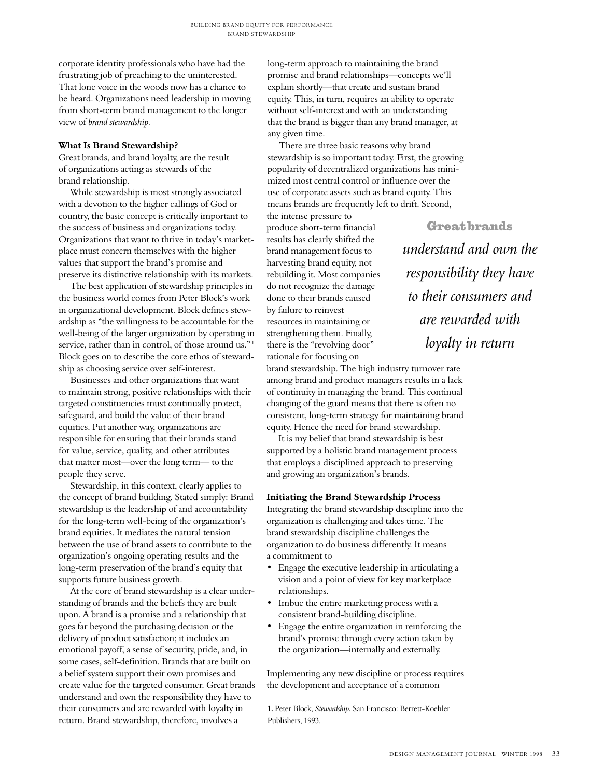corporate identity professionals who have had the frustrating job of preaching to the uninterested. That lone voice in the woods now has a chance to be heard. Organizations need leadership in moving from short-term brand management to the longer view of *brand stewardship.*

#### **What Is Brand Stewardship?**

Great brands, and brand loyalty, are the result of organizations acting as stewards of the brand relationship.

While stewardship is most strongly associated with a devotion to the higher callings of God or country, the basic concept is critically important to the success of business and organizations today. Organizations that want to thrive in today's marketplace must concern themselves with the higher values that support the brand's promise and preserve its distinctive relationship with its markets.

The best application of stewardship principles in the business world comes from Peter Block's work in organizational development. Block defines stewardship as "the willingness to be accountable for the well-being of the larger organization by operating in service, rather than in control, of those around us."<sup>1</sup> Block goes on to describe the core ethos of stewardship as choosing service over self-interest.

Businesses and other organizations that want to maintain strong, positive relationships with their targeted constituencies must continually protect, safeguard, and build the value of their brand equities. Put another way, organizations are responsible for ensuring that their brands stand for value, service, quality, and other attributes that matter most—over the long term— to the people they serve.

Stewardship, in this context, clearly applies to the concept of brand building. Stated simply: Brand stewardship is the leadership of and accountability for the long-term well-being of the organization's brand equities. It mediates the natural tension between the use of brand assets to contribute to the organization's ongoing operating results and the long-term preservation of the brand's equity that supports future business growth.

At the core of brand stewardship is a clear understanding of brands and the beliefs they are built upon. A brand is a promise and a relationship that goes far beyond the purchasing decision or the delivery of product satisfaction; it includes an emotional payoff, a sense of security, pride, and, in some cases, self-definition. Brands that are built on a belief system support their own promises and create value for the targeted consumer. Great brands understand and own the responsibility they have to their consumers and are rewarded with loyalty in return. Brand stewardship, therefore, involves a

long-term approach to maintaining the brand promise and brand relationships—concepts we'll explain shortly—that create and sustain brand equity. This, in turn, requires an ability to operate without self-interest and with an understanding that the brand is bigger than any brand manager, at any given time.

There are three basic reasons why brand stewardship is so important today. First, the growing popularity of decentralized organizations has minimized most central control or influence over the use of corporate assets such as brand equity. This means brands are frequently left to drift. Second,

the intense pressure to produce short-term financial results has clearly shifted the brand management focus to harvesting brand equity, not rebuilding it. Most companies do not recognize the damage done to their brands caused by failure to reinvest resources in maintaining or strengthening them. Finally, there is the "revolving door" rationale for focusing on

Great brands *understand and own the responsibility they have to their consumers and are rewarded with loyalty in return*

brand stewardship. The high industry turnover rate among brand and product managers results in a lack of continuity in managing the brand. This continual changing of the guard means that there is often no consistent, long-term strategy for maintaining brand equity. Hence the need for brand stewardship.

It is my belief that brand stewardship is best supported by a holistic brand management process that employs a disciplined approach to preserving and growing an organization's brands.

#### **Initiating the Brand Stewardship Process**

Integrating the brand stewardship discipline into the organization is challenging and takes time. The brand stewardship discipline challenges the organization to do business differently. It means a commitment to

- Engage the executive leadership in articulating a vision and a point of view for key marketplace relationships.
- Imbue the entire marketing process with a consistent brand-building discipline.
- Engage the entire organization in reinforcing the brand's promise through every action taken by the organization—internally and externally.

Implementing any new discipline or process requires the development and acceptance of a common

**1.** Peter Block, *Stewardship.* San Francisco: Berrett-Koehler Publishers, 1993.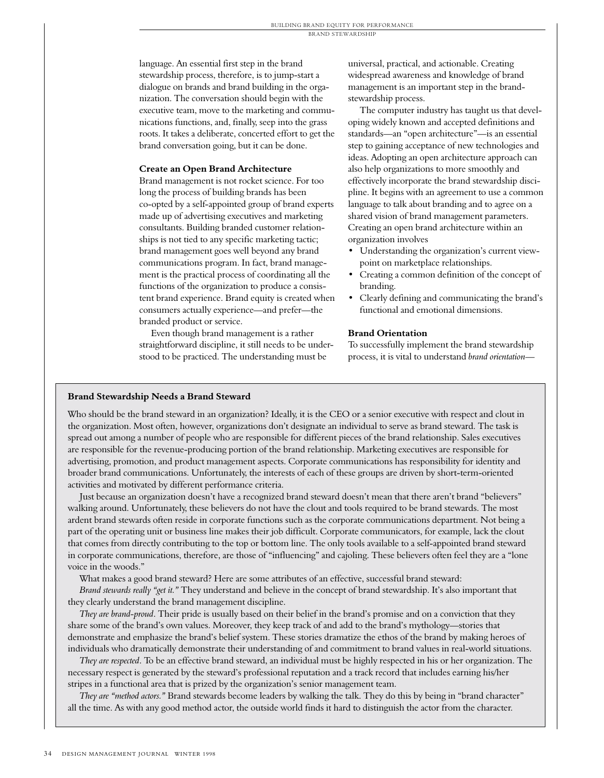BUILDING BRAND EQUITY FOR PERFORMANCE

BRAND STEWARDSHIP

language. An essential first step in the brand stewardship process, therefore, is to jump-start a dialogue on brands and brand building in the organization. The conversation should begin with the executive team, move to the marketing and communications functions, and, finally, seep into the grass roots. It takes a deliberate, concerted effort to get the brand conversation going, but it can be done.

#### **Create an Open Brand Architecture**

Brand management is not rocket science. For too long the process of building brands has been co-opted by a self-appointed group of brand experts made up of advertising executives and marketing consultants. Building branded customer relationships is not tied to any specific marketing tactic; brand management goes well beyond any brand communications program. In fact, brand management is the practical process of coordinating all the functions of the organization to produce a consistent brand experience. Brand equity is created when consumers actually experience—and prefer—the branded product or service.

Even though brand management is a rather straightforward discipline, it still needs to be understood to be practiced. The understanding must be

universal, practical, and actionable. Creating widespread awareness and knowledge of brand management is an important step in the brandstewardship process.

The computer industry has taught us that developing widely known and accepted definitions and standards—an "open architecture"—is an essential step to gaining acceptance of new technologies and ideas. Adopting an open architecture approach can also help organizations to more smoothly and effectively incorporate the brand stewardship discipline. It begins with an agreement to use a common language to talk about branding and to agree on a shared vision of brand management parameters. Creating an open brand architecture within an organization involves

- Understanding the organization's current viewpoint on marketplace relationships.
- Creating a common definition of the concept of branding.
- Clearly defining and communicating the brand's functional and emotional dimensions.

#### **Brand Orientation**

To successfully implement the brand stewardship process, it is vital to understand *brand orientation*—

#### **Brand Stewardship Needs a Brand Steward**

Who should be the brand steward in an organization? Ideally, it is the CEO or a senior executive with respect and clout in the organization. Most often, however, organizations don't designate an individual to serve as brand steward. The task is spread out among a number of people who are responsible for different pieces of the brand relationship. Sales executives are responsible for the revenue-producing portion of the brand relationship. Marketing executives are responsible for advertising, promotion, and product management aspects. Corporate communications has responsibility for identity and broader brand communications. Unfortunately, the interests of each of these groups are driven by short-term-oriented activities and motivated by different performance criteria.

Just because an organization doesn't have a recognized brand steward doesn't mean that there aren't brand "believers" walking around. Unfortunately, these believers do not have the clout and tools required to be brand stewards. The most ardent brand stewards often reside in corporate functions such as the corporate communications department. Not being a part of the operating unit or business line makes their job difficult. Corporate communicators, for example, lack the clout that comes from directly contributing to the top or bottom line. The only tools available to a self-appointed brand steward in corporate communications, therefore, are those of "influencing" and cajoling. These believers often feel they are a "lone voice in the woods."

What makes a good brand steward? Here are some attributes of an effective, successful brand steward:

*Brand stewards really "get it."* They understand and believe in the concept of brand stewardship. It's also important that they clearly understand the brand management discipline.

*They are brand-proud*. Their pride is usually based on their belief in the brand's promise and on a conviction that they share some of the brand's own values. Moreover, they keep track of and add to the brand's mythology—stories that demonstrate and emphasize the brand's belief system. These stories dramatize the ethos of the brand by making heroes of individuals who dramatically demonstrate their understanding of and commitment to brand values in real-world situations.

*They are respected*. To be an effective brand steward, an individual must be highly respected in his or her organization. The necessary respect is generated by the steward's professional reputation and a track record that includes earning his/her stripes in a functional area that is prized by the organization's senior management team.

*They are "method actors."* Brand stewards become leaders by walking the talk. They do this by being in "brand character" all the time. As with any good method actor, the outside world finds it hard to distinguish the actor from the character.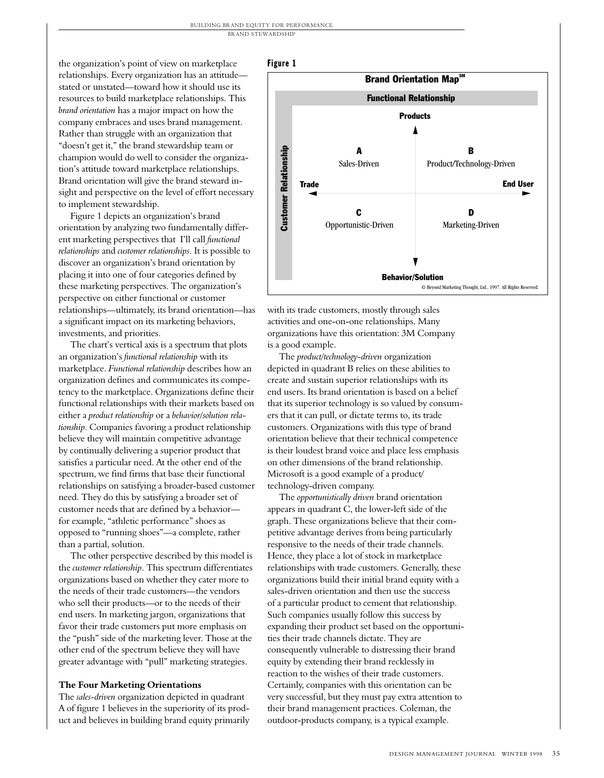#### the organization's point of view on marketplace relationships. Every organization has an attitude stated or unstated—toward how it should use its resources to build marketplace relationships. This *brand orientation* has a major impact on how the company embraces and uses brand management. Rather than struggle with an organization that "doesn't get it," the brand stewardship team or champion would do well to consider the organization's attitude toward marketplace relationships. Brand orientation will give the brand steward insight and perspective on the level of effort necessary to implement stewardship.

Figure 1 depicts an organization's brand orientation by analyzing two fundamentally different marketing perspectives that I'll call *functional relationships* and *customer relationships*. It is possible to discover an organization's brand orientation by placing it into one of four categories defined by these marketing perspectives. The organization's perspective on either functional or customer relationships—ultimately, its brand orientation—has a significant impact on its marketing behaviors, investments, and priorities.

The chart's vertical axis is a spectrum that plots an organization's *functional relationship* with its marketplace. *Functional relationship* describes how an organization defines and communicates its competency to the marketplace. Organizations define their functional relationships with their markets based on either a *product relationship* or a *behavior/solution relationship*. Companies favoring a product relationship believe they will maintain competitive advantage by continually delivering a superior product that satisfies a particular need. At the other end of the spectrum, we find firms that base their functional relationships on satisfying a broader-based customer need. They do this by satisfying a broader set of customer needs that are defined by a behavior for example, "athletic performance" shoes as opposed to "running shoes"—a complete, rather than a partial, solution.

The other perspective described by this model is the *customer relationship*. This spectrum differentiates organizations based on whether they cater more to the needs of their trade customers—the vendors who sell their products—or to the needs of their end users. In marketing jargon, organizations that favor their trade customers put more emphasis on the "push" side of the marketing lever. Those at the other end of the spectrum believe they will have greater advantage with "pull" marketing strategies.

#### **The Four Marketing Orientations**

The *sales-driven* organization depicted in quadrant A of figure 1 believes in the superiority of its product and believes in building brand equity primarily



with its trade customers, mostly through sales activities and one-on-one relationships. Many organizations have this orientation: 3M Company is a good example.

The *product/technology-driven* organization depicted in quadrant B relies on these abilities to create and sustain superior relationships with its end users. Its brand orientation is based on a belief that its superior technology is so valued by consumers that it can pull, or dictate terms to, its trade customers. Organizations with this type of brand orientation believe that their technical competence is their loudest brand voice and place less emphasis on other dimensions of the brand relationship. Microsoft is a good example of a product/ technology-driven company.

The *opportunistically driven* brand orientation appears in quadrant C, the lower-left side of the graph. These organizations believe that their competitive advantage derives from being particularly responsive to the needs of their trade channels. Hence, they place a lot of stock in marketplace relationships with trade customers. Generally, these organizations build their initial brand equity with a sales-driven orientation and then use the success of a particular product to cement that relationship. Such companies usually follow this success by expanding their product set based on the opportunities their trade channels dictate. They are consequently vulnerable to distressing their brand equity by extending their brand recklessly in reaction to the wishes of their trade customers. Certainly, companies with this orientation can be very successful, but they must pay extra attention to their brand management practices. Coleman, the outdoor-products company, is a typical example.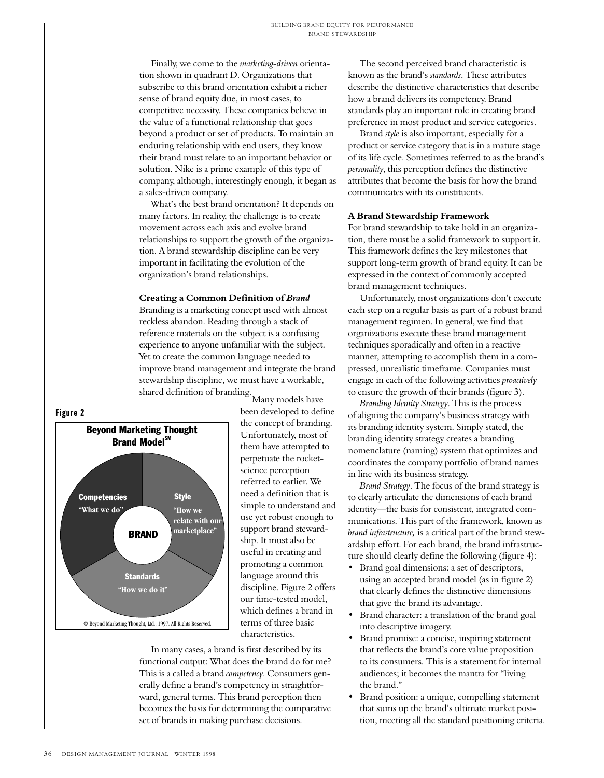Finally, we come to the *marketing-driven* orientation shown in quadrant D. Organizations that subscribe to this brand orientation exhibit a richer sense of brand equity due, in most cases, to competitive necessity. These companies believe in the value of a functional relationship that goes beyond a product or set of products. To maintain an enduring relationship with end users, they know their brand must relate to an important behavior or solution. Nike is a prime example of this type of company, although, interestingly enough, it began as a sales-driven company.

What's the best brand orientation? It depends on many factors. In reality, the challenge is to create movement across each axis and evolve brand relationships to support the growth of the organization. A brand stewardship discipline can be very important in facilitating the evolution of the organization's brand relationships.

#### **Creating a Common Definition of** *Brand*

Branding is a marketing concept used with almost reckless abandon. Reading through a stack of reference materials on the subject is a confusing experience to anyone unfamiliar with the subject. Yet to create the common language needed to improve brand management and integrate the brand stewardship discipline, we must have a workable, shared definition of branding.

#### Figure 2



Many models have been developed to define the concept of branding. Unfortunately, most of them have attempted to perpetuate the rocketscience perception referred to earlier. We need a definition that is simple to understand and use yet robust enough to support brand stewardship. It must also be useful in creating and promoting a common language around this discipline. Figure 2 offers our time-tested model, which defines a brand in terms of three basic characteristics.

In many cases, a brand is first described by its functional output: What does the brand do for me? This is a called a brand *competency*. Consumers generally define a brand's competency in straightforward, general terms. This brand perception then becomes the basis for determining the comparative set of brands in making purchase decisions.

The second perceived brand characteristic is known as the brand's *standards*. These attributes describe the distinctive characteristics that describe how a brand delivers its competency. Brand standards play an important role in creating brand preference in most product and service categories.

Brand *style* is also important, especially for a product or service category that is in a mature stage of its life cycle. Sometimes referred to as the brand's *personality*, this perception defines the distinctive attributes that become the basis for how the brand communicates with its constituents.

#### **A Brand Stewardship Framework**

For brand stewardship to take hold in an organization, there must be a solid framework to support it. This framework defines the key milestones that support long-term growth of brand equity. It can be expressed in the context of commonly accepted brand management techniques.

Unfortunately, most organizations don't execute each step on a regular basis as part of a robust brand management regimen. In general, we find that organizations execute these brand management techniques sporadically and often in a reactive manner, attempting to accomplish them in a compressed, unrealistic timeframe. Companies must engage in each of the following activities *proactively* to ensure the growth of their brands (figure 3).

*Branding Identity Strategy*. This is the process of aligning the company's business strategy with its branding identity system. Simply stated, the branding identity strategy creates a branding nomenclature (naming) system that optimizes and coordinates the company portfolio of brand names in line with its business strategy.

*Brand Strategy*. The focus of the brand strategy is to clearly articulate the dimensions of each brand identity—the basis for consistent, integrated communications. This part of the framework, known as *brand infrastructure,* is a critical part of the brand stewardship effort. For each brand, the brand infrastructure should clearly define the following (figure 4):

- Brand goal dimensions: a set of descriptors, using an accepted brand model (as in figure 2) that clearly defines the distinctive dimensions that give the brand its advantage.
- Brand character: a translation of the brand goal into descriptive imagery.
- Brand promise: a concise, inspiring statement that reflects the brand's core value proposition to its consumers. This is a statement for internal audiences; it becomes the mantra for "living the brand."
- Brand position: a unique, compelling statement that sums up the brand's ultimate market position, meeting all the standard positioning criteria.